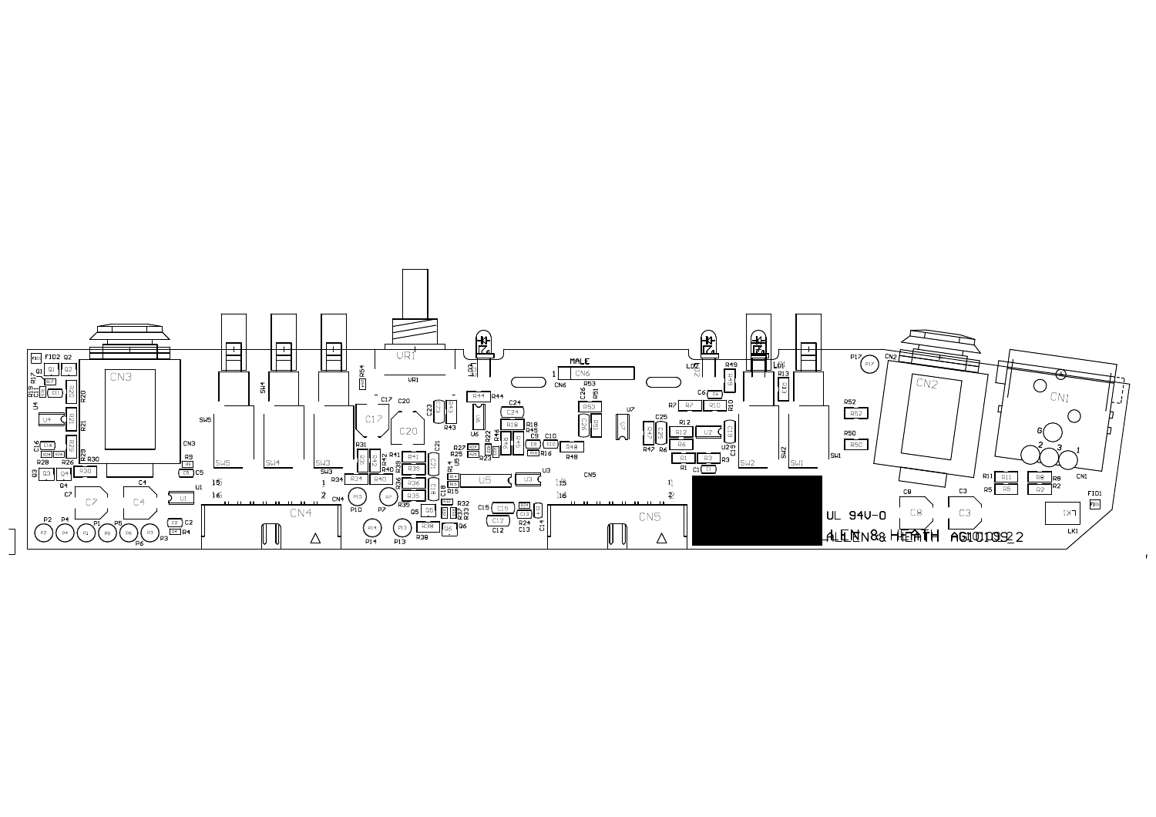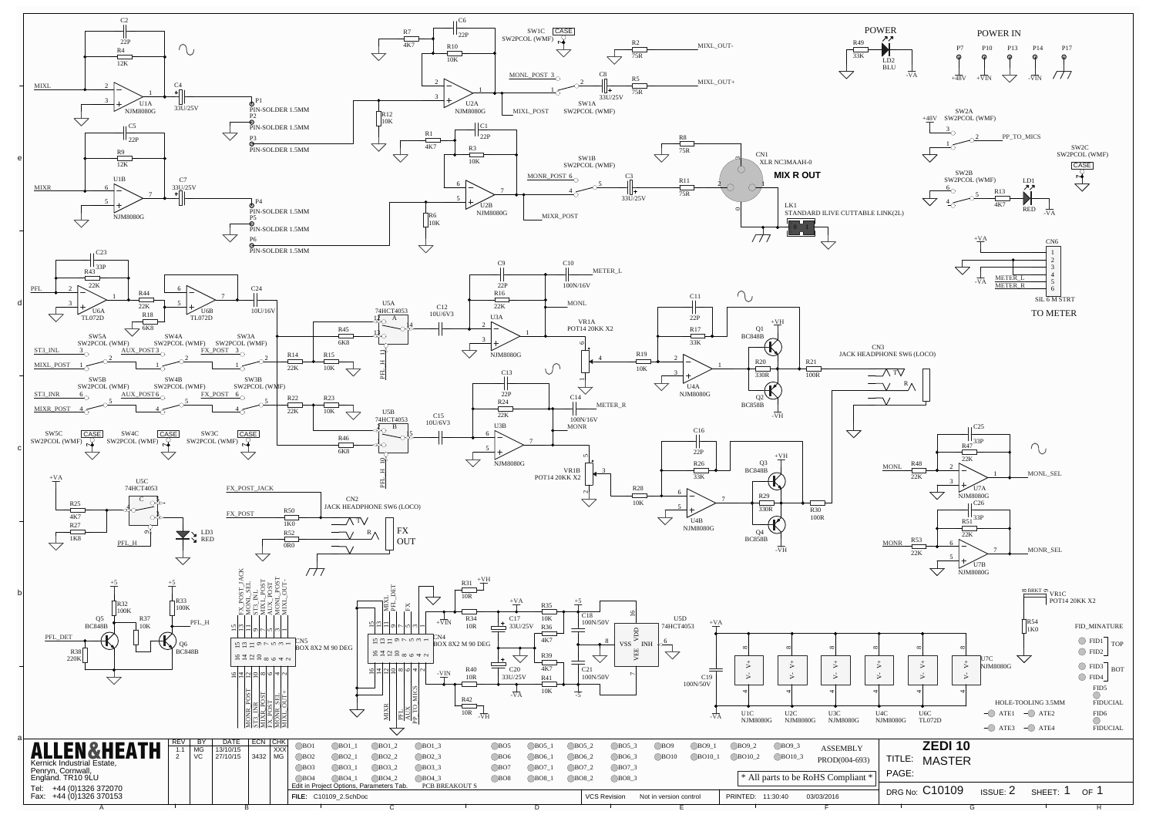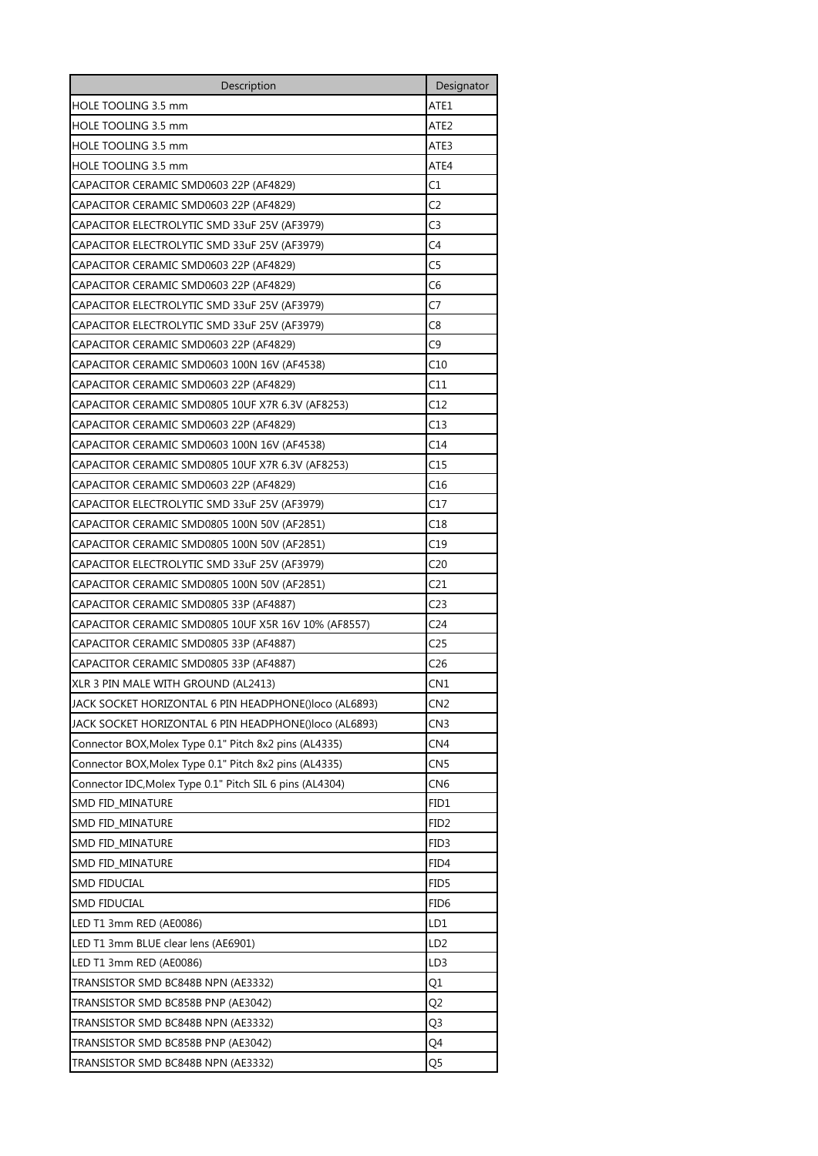| Description                                              | Designator       |
|----------------------------------------------------------|------------------|
| HOLE TOOLING 3.5 mm                                      | ATE1             |
| <b>HOLE TOOLING 3.5 mm</b>                               | ATE2             |
| HOLE TOOLING 3.5 mm                                      | ATE3             |
| HOLE TOOLING 3.5 mm                                      | ATE4             |
| CAPACITOR CERAMIC SMD0603 22P (AF4829)                   | C1               |
| CAPACITOR CERAMIC SMD0603 22P (AF4829)                   | C <sub>2</sub>   |
| CAPACITOR ELECTROLYTIC SMD 33uF 25V (AF3979)             | C3               |
| CAPACITOR ELECTROLYTIC SMD 33uF 25V (AF3979)             | C4               |
| CAPACITOR CERAMIC SMD0603 22P (AF4829)                   | C5               |
| CAPACITOR CERAMIC SMD0603 22P (AF4829)                   | C6               |
| CAPACITOR ELECTROLYTIC SMD 33uF 25V (AF3979)             | C7               |
| CAPACITOR ELECTROLYTIC SMD 33uF 25V (AF3979)             | C8               |
| CAPACITOR CERAMIC SMD0603 22P (AF4829)                   | C9               |
| CAPACITOR CERAMIC SMD0603 100N 16V (AF4538)              | C10              |
| CAPACITOR CERAMIC SMD0603 22P (AF4829)                   | C11              |
| CAPACITOR CERAMIC SMD0805 10UF X7R 6.3V (AF8253)         | C12              |
| CAPACITOR CERAMIC SMD0603 22P (AF4829)                   | C13              |
| CAPACITOR CERAMIC SMD0603 100N 16V (AF4538)              | C14              |
| CAPACITOR CERAMIC SMD0805 10UF X7R 6.3V (AF8253)         | C15              |
| CAPACITOR CERAMIC SMD0603 22P (AF4829)                   | C16              |
| CAPACITOR ELECTROLYTIC SMD 33uF 25V (AF3979)             | C17              |
| CAPACITOR CERAMIC SMD0805 100N 50V (AF2851)              | C18              |
| CAPACITOR CERAMIC SMD0805 100N 50V (AF2851)              | C19              |
| CAPACITOR ELECTROLYTIC SMD 33uF 25V (AF3979)             | C20              |
| CAPACITOR CERAMIC SMD0805 100N 50V (AF2851)              | C21              |
| CAPACITOR CERAMIC SMD0805 33P (AF4887)                   | C23              |
| CAPACITOR CERAMIC SMD0805 10UF X5R 16V 10% (AF8557)      | C24              |
| CAPACITOR CERAMIC SMD0805 33P (AF4887)                   | C25              |
| CAPACITOR CERAMIC SMD0805 33P (AF4887)                   | C26              |
| XLR 3 PIN MALE WITH GROUND (AL2413)                      | CN1              |
| JACK SOCKET HORIZONTAL 6 PIN HEADPHONE()loco (AL6893)    | CN <sub>2</sub>  |
| JACK SOCKET HORIZONTAL 6 PIN HEADPHONE()loco (AL6893)    | CN <sub>3</sub>  |
| Connector BOX, Molex Type 0.1" Pitch 8x2 pins (AL4335)   | CN4              |
| Connector BOX, Molex Type 0.1" Pitch 8x2 pins (AL4335)   | CN5              |
| Connector IDC, Molex Type 0.1" Pitch SIL 6 pins (AL4304) | CN <sub>6</sub>  |
| SMD FID_MINATURE                                         | FID1             |
| SMD FID_MINATURE                                         | FID <sub>2</sub> |
| SMD FID_MINATURE                                         | FID3             |
| SMD FID_MINATURE                                         | FID4             |
| <b>SMD FIDUCIAL</b>                                      | FID5             |
| <b>SMD FIDUCIAL</b>                                      | FID <sub>6</sub> |
| LED T1 3mm RED (AE0086)                                  | LD1              |
| LED T1 3mm BLUE clear lens (AE6901)                      | LD <sub>2</sub>  |
| LED T1 3mm RED (AE0086)                                  | LD <sub>3</sub>  |
| TRANSISTOR SMD BC848B NPN (AE3332)                       | Q1               |
| TRANSISTOR SMD BC858B PNP (AE3042)                       | Q <sub>2</sub>   |
| TRANSISTOR SMD BC848B NPN (AE3332)                       | Q3               |
| TRANSISTOR SMD BC858B PNP (AE3042)                       | Q4               |
|                                                          | Q5               |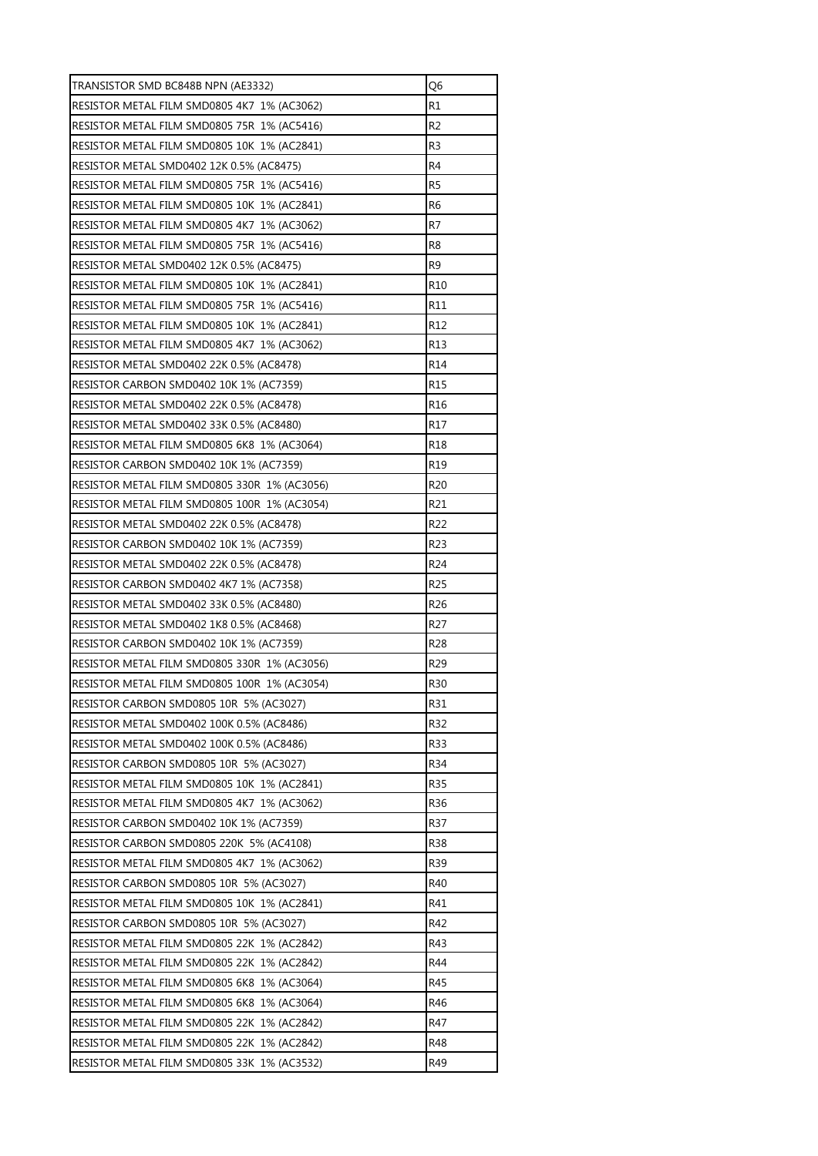| TRANSISTOR SMD BC848B NPN (AE3332)           | Q6              |
|----------------------------------------------|-----------------|
| RESISTOR METAL FILM SMD0805 4K7 1% (AC3062)  | R1              |
| RESISTOR METAL FILM SMD0805 75R 1% (AC5416)  | R <sub>2</sub>  |
| RESISTOR METAL FILM SMD0805 10K 1% (AC2841)  | R <sub>3</sub>  |
| RESISTOR METAL SMD0402 12K 0.5% (AC8475)     | R4              |
| RESISTOR METAL FILM SMD0805 75R 1% (AC5416)  | R5              |
| RESISTOR METAL FILM SMD0805 10K 1% (AC2841)  | R <sub>6</sub>  |
| RESISTOR METAL FILM SMD0805 4K7 1% (AC3062)  | R7              |
| RESISTOR METAL FILM SMD0805 75R 1% (AC5416)  | R8              |
| RESISTOR METAL SMD0402 12K 0.5% (AC8475)     | R <sub>9</sub>  |
| RESISTOR METAL FILM SMD0805 10K 1% (AC2841)  | R <sub>10</sub> |
| RESISTOR METAL FILM SMD0805 75R 1% (AC5416)  | R11             |
| RESISTOR METAL FILM SMD0805 10K 1% (AC2841)  | R <sub>12</sub> |
| RESISTOR METAL FILM SMD0805 4K7 1% (AC3062)  | R13             |
| RESISTOR METAL SMD0402 22K 0.5% (AC8478)     | R <sub>14</sub> |
| RESISTOR CARBON SMD0402 10K 1% (AC7359)      | R <sub>15</sub> |
| RESISTOR METAL SMD0402 22K 0.5% (AC8478)     | R16             |
| RESISTOR METAL SMD0402 33K 0.5% (AC8480)     | R17             |
| RESISTOR METAL FILM SMD0805 6K8 1% (AC3064)  | R18             |
| RESISTOR CARBON SMD0402 10K 1% (AC7359)      | R <sub>19</sub> |
| RESISTOR METAL FILM SMD0805 330R 1% (AC3056) | R <sub>20</sub> |
| RESISTOR METAL FILM SMD0805 100R 1% (AC3054) | R21             |
| RESISTOR METAL SMD0402 22K 0.5% (AC8478)     | R <sub>22</sub> |
| RESISTOR CARBON SMD0402 10K 1% (AC7359)      | R <sub>23</sub> |
| RESISTOR METAL SMD0402 22K 0.5% (AC8478)     | R <sub>24</sub> |
| RESISTOR CARBON SMD0402 4K7 1% (AC7358)      | R <sub>25</sub> |
| RESISTOR METAL SMD0402 33K 0.5% (AC8480)     | R <sub>26</sub> |
| RESISTOR METAL SMD0402 1K8 0.5% (AC8468)     | R <sub>27</sub> |
| RESISTOR CARBON SMD0402 10K 1% (AC7359)      | R <sub>28</sub> |
| RESISTOR METAL FILM SMD0805 330R 1% (AC3056) | R <sub>29</sub> |
| RESISTOR METAL FILM SMD0805 100R 1% (AC3054) | R30             |
| RESISTOR CARBON SMD0805 10R 5% (AC3027)      | R31             |
| RESISTOR METAL SMD0402 100K 0.5% (AC8486)    | R32             |
| RESISTOR METAL SMD0402 100K 0.5% (AC8486)    | <b>R33</b>      |
| RESISTOR CARBON SMD0805 10R 5% (AC3027)      | R34             |
| RESISTOR METAL FILM SMD0805 10K 1% (AC2841)  | R35             |
| RESISTOR METAL FILM SMD0805 4K7 1% (AC3062)  | R36             |
| RESISTOR CARBON SMD0402 10K 1% (AC7359)      | R37             |
| RESISTOR CARBON SMD0805 220K 5% (AC4108)     | <b>R38</b>      |
| RESISTOR METAL FILM SMD0805 4K7 1% (AC3062)  | R39             |
| RESISTOR CARBON SMD0805 10R 5% (AC3027)      | R40             |
|                                              | R41             |
| RESISTOR METAL FILM SMD0805 10K 1% (AC2841)  |                 |
| RESISTOR CARBON SMD0805 10R 5% (AC3027)      | R42             |
| RESISTOR METAL FILM SMD0805 22K 1% (AC2842)  | R43             |
| RESISTOR METAL FILM SMD0805 22K 1% (AC2842)  | R44             |
| RESISTOR METAL FILM SMD0805 6K8 1% (AC3064)  | R45             |
| RESISTOR METAL FILM SMD0805 6K8 1% (AC3064)  | R46             |
| RESISTOR METAL FILM SMD0805 22K 1% (AC2842)  | R47             |
| RESISTOR METAL FILM SMD0805 22K 1% (AC2842)  | R48             |
| RESISTOR METAL FILM SMD0805 33K 1% (AC3532)  | R49             |